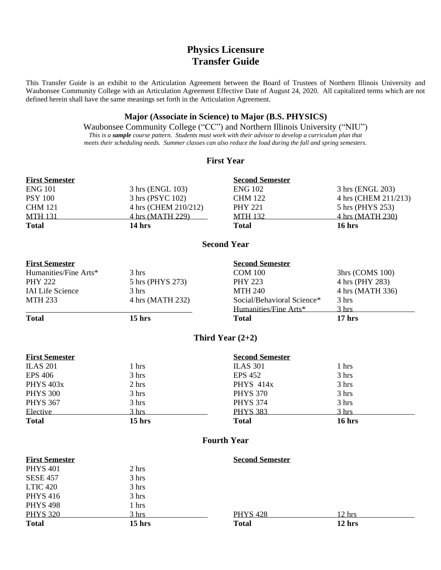# **Physics Licensure Transfer Guide**

This Transfer Guide is an exhibit to the Articulation Agreement between the Board of Trustees of Northern Illinois University and Waubonsee Community College with an Articulation Agreement Effective Date of August 24, 2020. All capitalized terms which are not defined herein shall have the same meanings set forth in the Articulation Agreement.

## **Major (Associate in Science) to Major (B.S. PHYSICS)**

Waubonsee Community College ("CC") and Northern Illinois University ("NIU") *This is a sample course pattern. Students must work with their advisor to develop a curriculum plan that meets their scheduling needs. Summer classes can also reduce the load during the fall and spring semesters.*

#### **First Year**

| <b>First Semester</b> |                      | <b>Second Semester</b> |                      |
|-----------------------|----------------------|------------------------|----------------------|
| <b>ENG 101</b>        | 3 hrs (ENGL 103)     | <b>ENG 102</b>         | 3 hrs (ENGL 203)     |
| <b>PSY 100</b>        | 3 hrs (PSYC 102)     | <b>CHM 122</b>         | 4 hrs (CHEM 211/213) |
| <b>CHM 121</b>        | 4 hrs (CHEM 210/212) | <b>PHY 221</b>         | 5 hrs (PHYS 253)     |
| <b>MTH 131</b>        | 4 hrs (MATH 229)     | <b>MTH 132</b>         | 4 hrs (MATH 230)     |
| <b>Total</b>          | $14 \text{ hrs}$     | <b>Total</b>           | $16$ hrs             |

#### **Second Year**

| <b>First Semester</b>   |                   | <b>Second Semester</b>     |                             |
|-------------------------|-------------------|----------------------------|-----------------------------|
| Humanities/Fine Arts*   | 3 hrs             | <b>COM 100</b>             | 3 <sub>hrs</sub> (COMS 100) |
| <b>PHY 222</b>          | 5 hrs (PHYS 273)  | <b>PHY 223</b>             | 4 hrs (PHY 283)             |
| <b>IAI Life Science</b> | 3 hrs             | <b>MTH 240</b>             | 4 hrs (MATH 336)            |
| <b>MTH 233</b>          | 4 hrs (MATH 232)  | Social/Behavioral Science* | 3 hrs                       |
|                         |                   | Humanities/Fine Arts*      | 3 hrs                       |
| <b>Total</b>            | 15 <sub>hrs</sub> | Total                      | 17 <sub>hrs</sub>           |

### **Third Year (2+2)**

| <b>First Semester</b> |                 | <b>Second Semester</b> |                 |  |
|-----------------------|-----------------|------------------------|-----------------|--|
| <b>ILAS 201</b>       | 1 hrs           | <b>ILAS 301</b>        | 1 hrs           |  |
| <b>EPS 406</b>        | 3 hrs           | <b>EPS 452</b>         | 3 hrs           |  |
| <b>PHYS 403x</b>      | $2 \text{ hrs}$ | <b>PHYS 414x</b>       | 3 hrs           |  |
| <b>PHYS 300</b>       | 3 hrs           | <b>PHYS 370</b>        | 3 hrs           |  |
| <b>PHYS 367</b>       | 3 hrs           | <b>PHYS 374</b>        | 3 hrs           |  |
| Elective              | $3 \text{ hrs}$ | <b>PHYS 383</b>        | $3 \text{ hrs}$ |  |
| <b>Total</b>          | $15$ hrs        | <b>Total</b>           | $16$ hrs        |  |

### **Fourth Year**

| <b>First Semester</b> |                 | <b>Second Semester</b> |          |  |
|-----------------------|-----------------|------------------------|----------|--|
| <b>PHYS 401</b>       | 2 hrs           |                        |          |  |
| <b>SESE 457</b>       | 3 hrs           |                        |          |  |
| <b>LTIC 420</b>       | 3 hrs           |                        |          |  |
| <b>PHYS 416</b>       | 3 hrs           |                        |          |  |
| <b>PHYS 498</b>       | 1 hrs           |                        |          |  |
| <b>PHYS 320</b>       | $3 \text{ hrs}$ | <b>PHYS 428</b>        | 12 hrs   |  |
| <b>Total</b>          | $15$ hrs        | <b>Total</b>           | $12$ hrs |  |